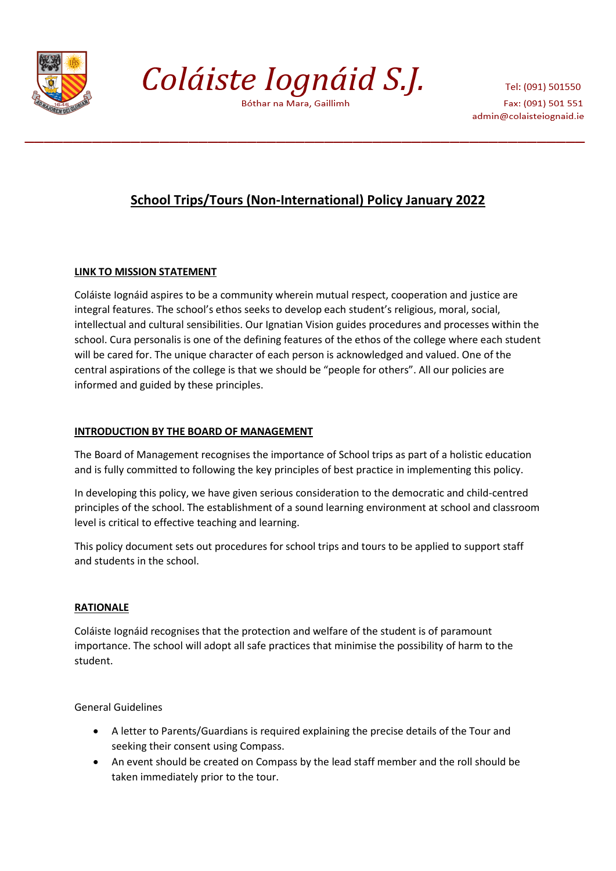

Coláiste Iognáid S.J.

Bóthar na Mara, Gaillimh

Tel: (091) 501550 Fax: (091) 501 551 admin@colaisteiognaid.ie

# **School Trips/Tours (Non-International) Policy January 2022**

## **LINK TO MISSION STATEMENT**

Coláiste Iognáid aspires to be a community wherein mutual respect, cooperation and justice are integral features. The school's ethos seeks to develop each student's religious, moral, social, intellectual and cultural sensibilities. Our Ignatian Vision guides procedures and processes within the school. Cura personalis is one of the defining features of the ethos of the college where each student will be cared for. The unique character of each person is acknowledged and valued. One of the central aspirations of the college is that we should be "people for others". All our policies are informed and guided by these principles.

# **INTRODUCTION BY THE BOARD OF MANAGEMENT**

The Board of Management recognises the importance of School trips as part of a holistic education and is fully committed to following the key principles of best practice in implementing this policy.

In developing this policy, we have given serious consideration to the democratic and child-centred principles of the school. The establishment of a sound learning environment at school and classroom level is critical to effective teaching and learning.

This policy document sets out procedures for school trips and tours to be applied to support staff and students in the school.

## **RATIONALE**

Coláiste Iognáid recognises that the protection and welfare of the student is of paramount importance. The school will adopt all safe practices that minimise the possibility of harm to the student.

General Guidelines

- A letter to Parents/Guardians is required explaining the precise details of the Tour and seeking their consent using Compass.
- An event should be created on Compass by the lead staff member and the roll should be taken immediately prior to the tour.